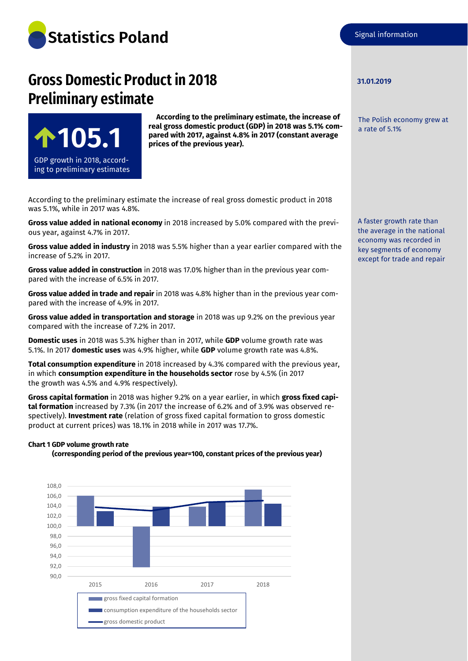

# **Gross Domestic Product in 2018 Preliminary estimate**



**According to the preliminary estimate, the increase of real gross domestic product (GDP) in 2018 was 5.1% compared with 2017, against 4.8% in 2017 (constant average prices of the previous year).**

According to the preliminary estimate the increase of real gross domestic product in 2018 was 5.1%, while in 2017 was 4.8%.

**Gross value added in national economy** in 2018 increased by 5.0% compared with the previous year, against 4.7% in 2017.

**Gross value added in industry** in 2018 was 5.5% higher than a year earlier compared with the increase of 5.2% in 2017.

**Gross value added in construction** in 2018 was 17.0% higher than in the previous year compared with the increase of 6.5% in 2017.

**Gross value added in trade and repair** in 2018 was 4.8% higher than in the previous year compared with the increase of 4.9% in 2017.

**Gross value added in transportation and storage** in 2018 was up 9.2% on the previous year compared with the increase of 7.2% in 2017.

**Domestic uses** in 2018 was 5.3% higher than in 2017, while **GDP** volume growth rate was 5.1%. In 2017 **domestic uses** was 4.9% higher, while **GDP** volume growth rate was 4.8%.

**Total consumption expenditure** in 2018 increased by 4.3% compared with the previous year, in which **consumption expenditure in the households sector** rose by 4.5% (in 2017 the growth was 4.5% and 4.9% respectively).

**Gross capital formation** in 2018 was higher 9.2% on a year earlier, in which **gross fixed capital formation** increased by 7.3% (in 2017 the increase of 6.2% and of 3.9% was observed respectively). **Investment rate** (relation of gross fixed capital formation to gross domestic product at current prices) was 18.1% in 2018 while in 2017 was 17.7%.

#### **Chart 1 GDP volume growth rate**





#### **31.01.2019**

The Polish economy grew at a rate of 5.1%

A faster growth rate than the average in the national economy was recorded in key segments of economy except for trade and repair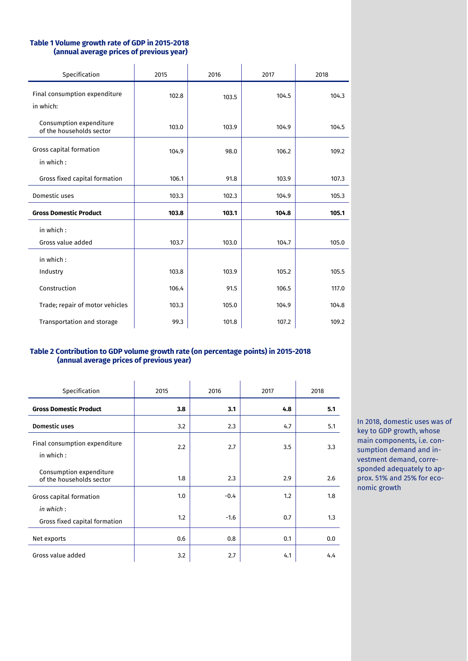## **Table 1 Volume growth rate of GDP in 2015-2018 (annual average prices of previous year)**

| Specification                                       | 2015  | 2016  | 2017  | 2018  |
|-----------------------------------------------------|-------|-------|-------|-------|
| Final consumption expenditure<br>in which:          | 102.8 | 103.5 | 104.5 | 104.3 |
| Consumption expenditure<br>of the households sector | 103.0 | 103.9 | 104.9 | 104.5 |
| Gross capital formation<br>in which:                | 104.9 | 98.0  | 106.2 | 109.2 |
| Gross fixed capital formation                       | 106.1 | 91.8  | 103.9 | 107.3 |
| Domestic uses                                       | 103.3 | 102.3 | 104.9 | 105.3 |
| <b>Gross Domestic Product</b>                       | 103.8 | 103.1 | 104.8 | 105.1 |
| in which:<br>Gross value added                      | 103.7 | 103.0 | 104.7 | 105.0 |
| in which:<br>Industry                               | 103.8 | 103.9 | 105.2 | 105.5 |
| Construction                                        | 106.4 | 91.5  | 106.5 | 117.0 |
| Trade; repair of motor vehicles                     | 103.3 | 105.0 | 104.9 | 104.8 |
| Transportation and storage                          | 99.3  | 101.8 | 107.2 | 109.2 |

# **Table 2 Contribution to GDP volume growth rate (on percentage points) in 2015-2018 (annual average prices of previous year)**

| Specification                                       | 2015 | 2016   | 2017 | 2018 |
|-----------------------------------------------------|------|--------|------|------|
| <b>Gross Domestic Product</b>                       | 3.8  | 3.1    | 4.8  | 5.1  |
| <b>Domestic uses</b>                                | 3.2  | 2.3    | 4.7  | 5.1  |
| Final consumption expenditure<br>in which:          | 2.2  | 2.7    | 3.5  | 3.3  |
| Consumption expenditure<br>of the households sector | 1.8  | 2.3    | 2.9  | 2.6  |
| Gross capital formation                             | 1.0  | $-0.4$ | 1.2  | 1.8  |
| in which:<br>Gross fixed capital formation          | 1.2  | $-1.6$ | 0.7  | 1.3  |
| Net exports                                         | 0.6  | 0.8    | 0.1  | 0.0  |
| Gross value added                                   | 3.2  | 2.7    | 4.1  | 4.4  |

In 2018, domestic uses was of key to GDP growth, whose main components, i.e. consumption demand and investment demand, corresponded adequately to approx. 51% and 25% for economic growth